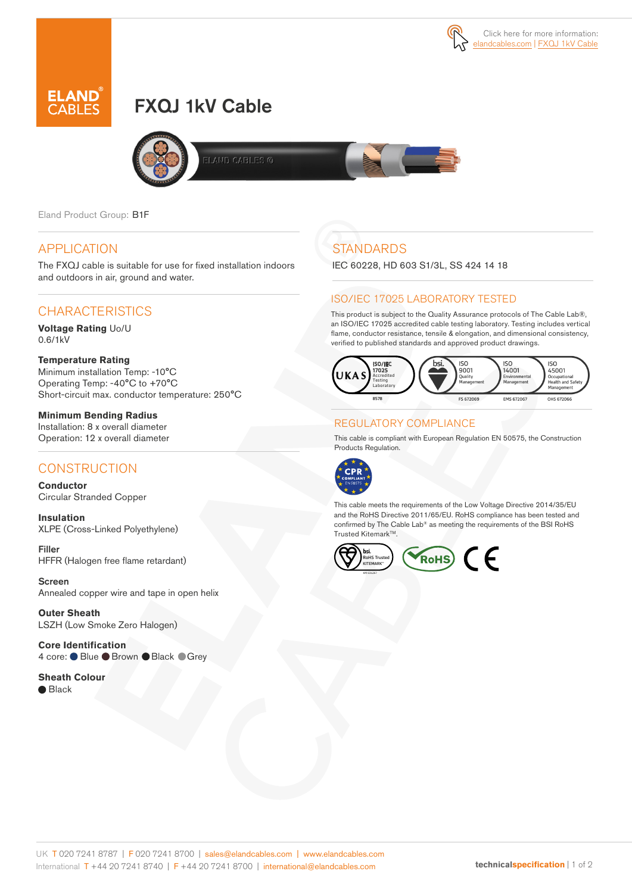



# FXQJ 1kV Cable



Eland Product Group: B1F

#### APPLICATION

The FXQJ cable is suitable for use for fixed installation indoors and outdoors in air, ground and water.

## CHARACTERISTICS

**Voltage Rating** Uo/U 0.6/1kV

#### **Temperature Rating**

Minimum installation Temp: -10°C Operating Temp: -40°C to +70°C Short-circuit max. conductor temperature: 250°C

**Minimum Bending Radius**  Installation: 8 x overall diameter Operation: 12 x overall diameter

### **CONSTRUCTION**

**Conductor**  Circular Stranded Copper

**Insulation** XLPE (Cross-Linked Polyethylene)

Filler HFFR (Halogen free flame retardant)

Screen Annealed copper wire and tape in open helix

**Outer Sheath** LSZH (Low Smoke Zero Halogen)

**Core Identification** 4 core: ● Blue ● Brown ● Black ● Grey

**Sheath Colour** 

● Black

# **STANDARDS**

IEC 60228, HD 603 S1/3L, SS 424 14 18

#### ISO/IEC 17025 LABORATORY TESTED

This product is subject to the Quality Assurance protocols of The Cable Lab®, an ISO/IEC 17025 accredited cable testing laboratory. Testing includes vertical flame, conductor resistance, tensile & elongation, and dimensional consistency, verified to published standards and approved product drawings.



#### REGULATORY COMPLIANCE

This cable is compliant with European Regulation EN 50575, the Construction Products Regulation.



This cable meets the requirements of the Low Voltage Directive 2014/35/EU and the RoHS Directive 2011/65/EU. RoHS compliance has been tested and confirmed by The Cable Lab® as meeting the requirements of the BSI RoHS Trusted Kitemark™.